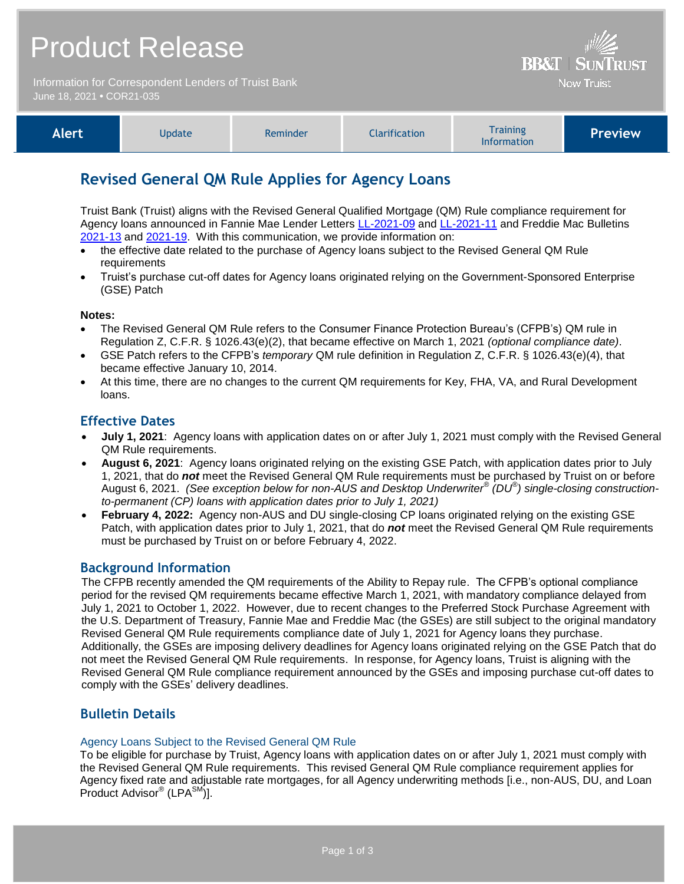## Product Release

Information for Correspondent Lenders of Truist Bank June 18, 2021 **•** COR21-035

| Alert, | Update | Reminder | <b>Clarification</b> | <b>Training</b><br><b>Information</b> | <b>Preview</b> |
|--------|--------|----------|----------------------|---------------------------------------|----------------|
|--------|--------|----------|----------------------|---------------------------------------|----------------|

**BB&T | SUNTRUST Now Truist** 

## **Revised General QM Rule Applies for Agency Loans**

Truist Bank (Truist) aligns with the Revised General Qualified Mortgage (QM) Rule compliance requirement for Agency loans announced in Fannie Mae Lender Letters [LL-2021-09](https://singlefamily.fanniemae.com/media/25566/display) and [LL-2021-11](https://singlefamily.fanniemae.com/media/25856/display) and Freddie Mac Bulletins [2021-13](https://guide.freddiemac.com/ci/okcsFattach/get/1006763_7) and [2021-19.](https://guide.freddiemac.com/ci/okcsFattach/get/1008168_7) With this communication, we provide information on:

- the effective date related to the purchase of Agency loans subject to the Revised General QM Rule requirements
- Truist's purchase cut-off dates for Agency loans originated relying on the Government-Sponsored Enterprise (GSE) Patch

#### **Notes:**

- The Revised General QM Rule refers to the Consumer Finance Protection Bureau's (CFPB's) QM rule in Regulation Z, C.F.R. § 1026.43(e)(2), that became effective on March 1, 2021 *(optional compliance date)*.
- GSE Patch refers to the CFPB's *temporary* QM rule definition in Regulation Z, C.F.R. § 1026.43(e)(4), that became effective January 10, 2014.
- At this time, there are no changes to the current QM requirements for Key, FHA, VA, and Rural Development loans.

### **Effective Dates**

- **July 1, 2021**: Agency loans with application dates on or after July 1, 2021 must comply with the Revised General QM Rule requirements.
- **August 6, 2021**: Agency loans originated relying on the existing GSE Patch, with application dates prior to July 1, 2021, that do *not* meet the Revised General QM Rule requirements must be purchased by Truist on or before August 6, 2021. *(See exception below for non-AUS and Desktop Underwriter® (DU ® ) single-closing constructionto-permanent (CP) loans with application dates prior to July 1, 2021)*
- **February 4, 2022:** Agency non-AUS and DU single-closing CP loans originated relying on the existing GSE Patch, with application dates prior to July 1, 2021, that do *not* meet the Revised General QM Rule requirements must be purchased by Truist on or before February 4, 2022.

### **Background Information**

The CFPB recently amended the QM requirements of the Ability to Repay rule. The CFPB's optional compliance period for the revised QM requirements became effective March 1, 2021, with mandatory compliance delayed from July 1, 2021 to October 1, 2022. However, due to recent changes to the Preferred Stock Purchase Agreement with the U.S. Department of Treasury, Fannie Mae and Freddie Mac (the GSEs) are still subject to the original mandatory Revised General QM Rule requirements compliance date of July 1, 2021 for Agency loans they purchase. Additionally, the GSEs are imposing delivery deadlines for Agency loans originated relying on the GSE Patch that do not meet the Revised General QM Rule requirements. In response, for Agency loans, Truist is aligning with the Revised General QM Rule compliance requirement announced by the GSEs and imposing purchase cut-off dates to comply with the GSEs' delivery deadlines.

## **Bulletin Details**

#### Agency Loans Subject to the Revised General QM Rule

To be eligible for purchase by Truist, Agency loans with application dates on or after July 1, 2021 must comply with the Revised General QM Rule requirements. This revised General QM Rule compliance requirement applies for Agency fixed rate and adjustable rate mortgages, for all Agency underwriting methods [i.e., non-AUS, DU, and Loan Product Advisor<sup>®</sup> (LPA<sup>SM'</sup>)].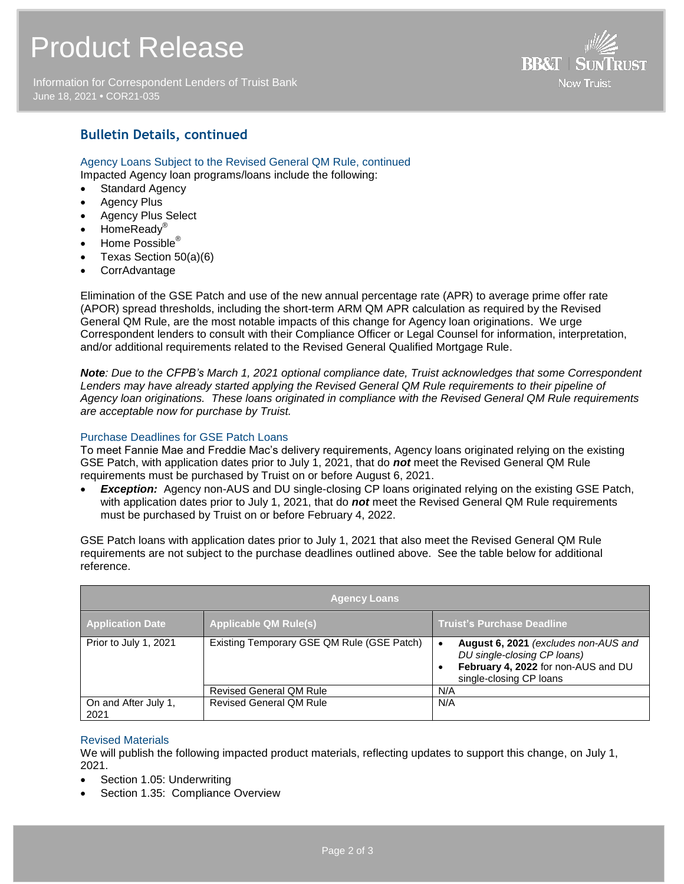# Product Release

Information for Correspondent Lenders of Truist Bank June 18, 2021 **•** COR21-035



## **Bulletin Details, continued**

Agency Loans Subject to the Revised General QM Rule, continued Impacted Agency loan programs/loans include the following:

- Standard Agency
- Agency Plus
- Agency Plus Select
- HomeReady®
- Home Possible<sup>®</sup>
- Texas Section 50(a)(6)
- CorrAdvantage

Elimination of the GSE Patch and use of the new annual percentage rate (APR) to average prime offer rate (APOR) spread thresholds, including the short-term ARM QM APR calculation as required by the Revised General QM Rule, are the most notable impacts of this change for Agency loan originations. We urge Correspondent lenders to consult with their Compliance Officer or Legal Counsel for information, interpretation, and/or additional requirements related to the Revised General Qualified Mortgage Rule.

*Note: Due to the CFPB's March 1, 2021 optional compliance date, Truist acknowledges that some Correspondent Lenders may have already started applying the Revised General QM Rule requirements to their pipeline of Agency loan originations. These loans originated in compliance with the Revised General QM Rule requirements are acceptable now for purchase by Truist.* 

#### Purchase Deadlines for GSE Patch Loans

To meet Fannie Mae and Freddie Mac's delivery requirements, Agency loans originated relying on the existing GSE Patch, with application dates prior to July 1, 2021, that do *not* meet the Revised General QM Rule requirements must be purchased by Truist on or before August 6, 2021.

**Exception:** Agency non-AUS and DU single-closing CP loans originated relying on the existing GSE Patch, with application dates prior to July 1, 2021, that do *not* meet the Revised General QM Rule requirements must be purchased by Truist on or before February 4, 2022.

GSE Patch loans with application dates prior to July 1, 2021 that also meet the Revised General QM Rule requirements are not subject to the purchase deadlines outlined above. See the table below for additional reference.

| <b>Agency Loans</b>          |                                            |                                                                                                                                       |  |  |  |
|------------------------------|--------------------------------------------|---------------------------------------------------------------------------------------------------------------------------------------|--|--|--|
| <b>Application Date</b>      | <b>Applicable QM Rule(s)</b>               | <b>Truist's Purchase Deadline</b>                                                                                                     |  |  |  |
| Prior to July 1, 2021        | Existing Temporary GSE QM Rule (GSE Patch) | August 6, 2021 (excludes non-AUS and<br>DU single-closing CP loans)<br>February 4, 2022 for non-AUS and DU<br>single-closing CP loans |  |  |  |
|                              | <b>Revised General QM Rule</b>             | N/A                                                                                                                                   |  |  |  |
| On and After July 1,<br>2021 | <b>Revised General QM Rule</b>             | N/A                                                                                                                                   |  |  |  |

#### Revised Materials

We will publish the following impacted product materials, reflecting updates to support this change, on July 1, 2021.

- Section 1.05: Underwriting
- Section 1.35: Compliance Overview